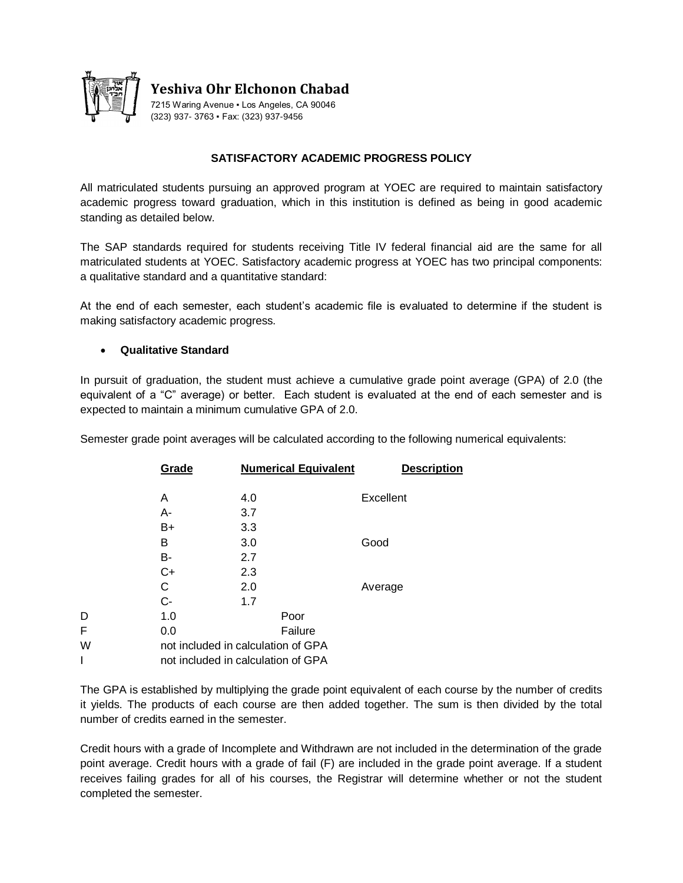

## **SATISFACTORY ACADEMIC PROGRESS POLICY**

All matriculated students pursuing an approved program at YOEC are required to maintain satisfactory academic progress toward graduation, which in this institution is defined as being in good academic standing as detailed below.

The SAP standards required for students receiving Title IV federal financial aid are the same for all matriculated students at YOEC. Satisfactory academic progress at YOEC has two principal components: a qualitative standard and a quantitative standard:

At the end of each semester, each student's academic file is evaluated to determine if the student is making satisfactory academic progress.

### **Qualitative Standard**

In pursuit of graduation, the student must achieve a cumulative grade point average (GPA) of 2.0 (the equivalent of a "C" average) or better. Each student is evaluated at the end of each semester and is expected to maintain a minimum cumulative GPA of 2.0.

Semester grade point averages will be calculated according to the following numerical equivalents:

|   | Grade                              | <b>Numerical Equivalent</b> | <b>Description</b> |
|---|------------------------------------|-----------------------------|--------------------|
|   | Α                                  | 4.0                         | Excellent          |
|   | А-                                 | 3.7                         |                    |
|   | B+                                 | 3.3                         |                    |
|   | в                                  | 3.0                         | Good               |
|   | B-                                 | 2.7                         |                    |
|   | C+                                 | 2.3                         |                    |
|   | С                                  | 2.0                         | Average            |
|   | $C -$                              | 1.7                         |                    |
| D | 1.0                                | Poor                        |                    |
| F | 0.0                                | Failure                     |                    |
| W | not included in calculation of GPA |                             |                    |
|   | not included in calculation of GPA |                             |                    |

The GPA is established by multiplying the grade point equivalent of each course by the number of credits it yields. The products of each course are then added together. The sum is then divided by the total number of credits earned in the semester.

Credit hours with a grade of Incomplete and Withdrawn are not included in the determination of the grade point average. Credit hours with a grade of fail (F) are included in the grade point average. If a student receives failing grades for all of his courses, the Registrar will determine whether or not the student completed the semester.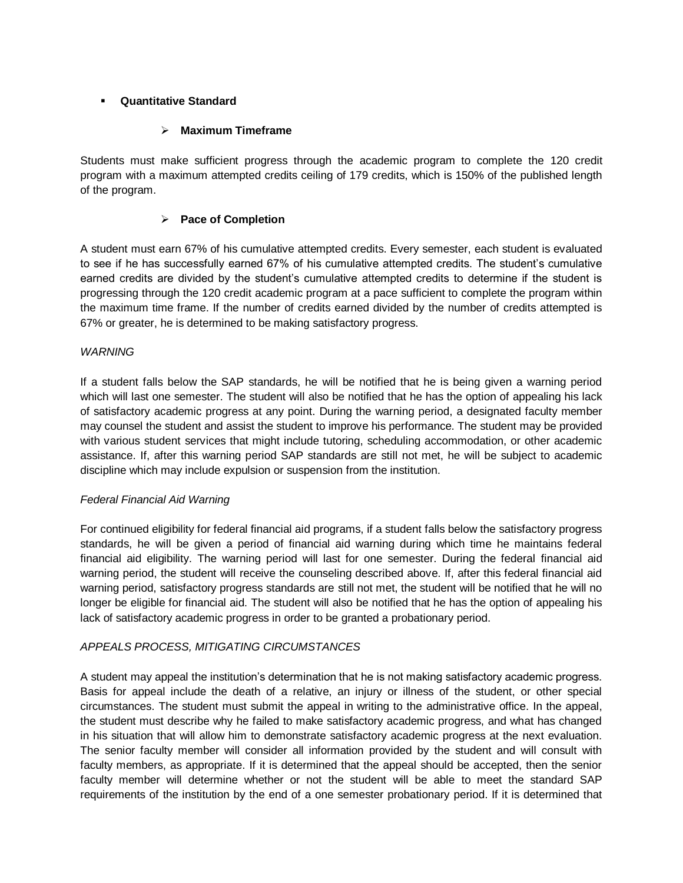## **Quantitative Standard**

## **Maximum Timeframe**

Students must make sufficient progress through the academic program to complete the 120 credit program with a maximum attempted credits ceiling of 179 credits, which is 150% of the published length of the program.

## **Pace of Completion**

A student must earn 67% of his cumulative attempted credits. Every semester, each student is evaluated to see if he has successfully earned 67% of his cumulative attempted credits. The student's cumulative earned credits are divided by the student's cumulative attempted credits to determine if the student is progressing through the 120 credit academic program at a pace sufficient to complete the program within the maximum time frame. If the number of credits earned divided by the number of credits attempted is 67% or greater, he is determined to be making satisfactory progress.

### *WARNING*

If a student falls below the SAP standards, he will be notified that he is being given a warning period which will last one semester. The student will also be notified that he has the option of appealing his lack of satisfactory academic progress at any point. During the warning period, a designated faculty member may counsel the student and assist the student to improve his performance. The student may be provided with various student services that might include tutoring, scheduling accommodation, or other academic assistance. If, after this warning period SAP standards are still not met, he will be subject to academic discipline which may include expulsion or suspension from the institution.

## *Federal Financial Aid Warning*

For continued eligibility for federal financial aid programs, if a student falls below the satisfactory progress standards, he will be given a period of financial aid warning during which time he maintains federal financial aid eligibility. The warning period will last for one semester. During the federal financial aid warning period, the student will receive the counseling described above. If, after this federal financial aid warning period, satisfactory progress standards are still not met, the student will be notified that he will no longer be eligible for financial aid. The student will also be notified that he has the option of appealing his lack of satisfactory academic progress in order to be granted a probationary period.

## *APPEALS PROCESS, MITIGATING CIRCUMSTANCES*

A student may appeal the institution's determination that he is not making satisfactory academic progress. Basis for appeal include the death of a relative, an injury or illness of the student, or other special circumstances. The student must submit the appeal in writing to the administrative office. In the appeal, the student must describe why he failed to make satisfactory academic progress, and what has changed in his situation that will allow him to demonstrate satisfactory academic progress at the next evaluation. The senior faculty member will consider all information provided by the student and will consult with faculty members, as appropriate. If it is determined that the appeal should be accepted, then the senior faculty member will determine whether or not the student will be able to meet the standard SAP requirements of the institution by the end of a one semester probationary period. If it is determined that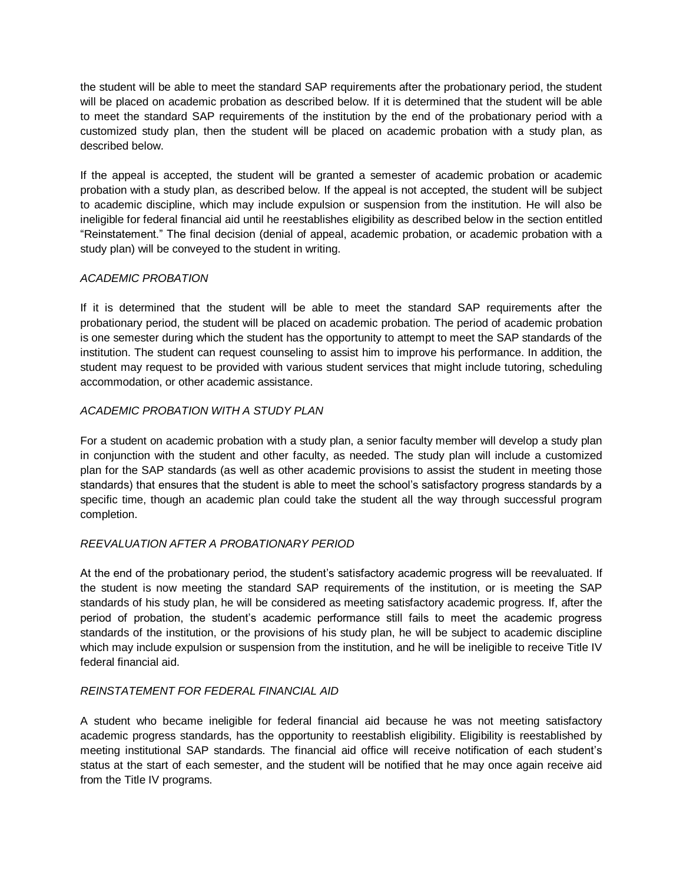the student will be able to meet the standard SAP requirements after the probationary period, the student will be placed on academic probation as described below. If it is determined that the student will be able to meet the standard SAP requirements of the institution by the end of the probationary period with a customized study plan, then the student will be placed on academic probation with a study plan, as described below.

If the appeal is accepted, the student will be granted a semester of academic probation or academic probation with a study plan, as described below. If the appeal is not accepted, the student will be subject to academic discipline, which may include expulsion or suspension from the institution. He will also be ineligible for federal financial aid until he reestablishes eligibility as described below in the section entitled "Reinstatement." The final decision (denial of appeal, academic probation, or academic probation with a study plan) will be conveyed to the student in writing.

## *ACADEMIC PROBATION*

If it is determined that the student will be able to meet the standard SAP requirements after the probationary period, the student will be placed on academic probation. The period of academic probation is one semester during which the student has the opportunity to attempt to meet the SAP standards of the institution. The student can request counseling to assist him to improve his performance. In addition, the student may request to be provided with various student services that might include tutoring, scheduling accommodation, or other academic assistance.

# *ACADEMIC PROBATION WITH A STUDY PLAN*

For a student on academic probation with a study plan, a senior faculty member will develop a study plan in conjunction with the student and other faculty, as needed. The study plan will include a customized plan for the SAP standards (as well as other academic provisions to assist the student in meeting those standards) that ensures that the student is able to meet the school's satisfactory progress standards by a specific time, though an academic plan could take the student all the way through successful program completion.

## *REEVALUATION AFTER A PROBATIONARY PERIOD*

At the end of the probationary period, the student's satisfactory academic progress will be reevaluated. If the student is now meeting the standard SAP requirements of the institution, or is meeting the SAP standards of his study plan, he will be considered as meeting satisfactory academic progress. If, after the period of probation, the student's academic performance still fails to meet the academic progress standards of the institution, or the provisions of his study plan, he will be subject to academic discipline which may include expulsion or suspension from the institution, and he will be ineligible to receive Title IV federal financial aid.

## *REINSTATEMENT FOR FEDERAL FINANCIAL AID*

A student who became ineligible for federal financial aid because he was not meeting satisfactory academic progress standards, has the opportunity to reestablish eligibility. Eligibility is reestablished by meeting institutional SAP standards. The financial aid office will receive notification of each student's status at the start of each semester, and the student will be notified that he may once again receive aid from the Title IV programs.